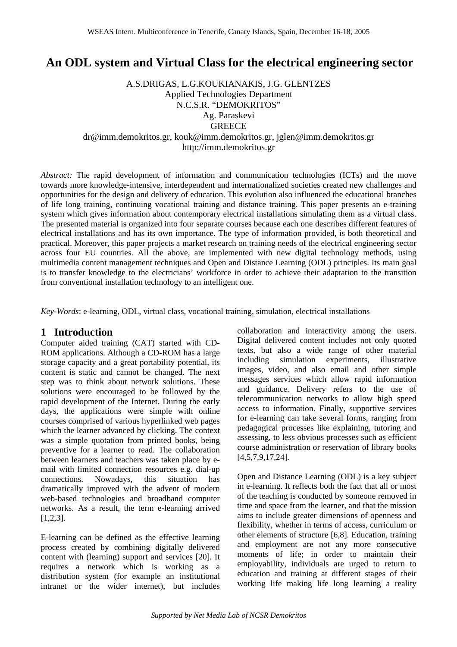# **An ODL system and Virtual Class for the electrical engineering sector**

A.S.DRIGAS, L.G.KOUKIANAKIS, J.G. GLENTZES Applied Technologies Department N.C.S.R. "DEMOKRITOS" Ag. Paraskevi **GREECE** dr@imm.demokritos.gr, kouk@imm.demokritos.gr, jglen@imm.demokritos.gr http://imm.demokritos.gr

*Abstract:* The rapid development of information and communication technologies (ICTs) and the move towards more knowledge-intensive, interdependent and internationalized societies created new challenges and opportunities for the design and delivery of education. This evolution also influenced the educational branches of life long training, continuing vocational training and distance training. This paper presents an e-training system which gives information about contemporary electrical installations simulating them as a virtual class. The presented material is organized into four separate courses because each one describes different features of electrical installations and has its own importance. The type of information provided, is both theoretical and practical. Moreover, this paper projects a market research on training needs of the electrical engineering sector across four EU countries. All the above, are implemented with new digital technology methods, using multimedia content management techniques and Open and Distance Learning (ODL) principles. Its main goal is to transfer knowledge to the electricians' workforce in order to achieve their adaptation to the transition from conventional installation technology to an intelligent one.

*Key-Words*: e-learning, ODL, virtual class, vocational training, simulation, electrical installations

### **1 Introduction**

Computer aided training (CAT) started with CD-ROM applications. Although a CD-ROM has a large storage capacity and a great portability potential, its content is static and cannot be changed. The next step was to think about network solutions. These solutions were encouraged to be followed by the rapid development of the Internet. During the early days, the applications were simple with online courses comprised of various hyperlinked web pages which the learner advanced by clicking. The context was a simple quotation from printed books, being preventive for a learner to read. The collaboration between learners and teachers was taken place by email with limited connection resources e.g. dial-up connections. Nowadays, this situation has dramatically improved with the advent of modern web-based technologies and broadband computer networks. As a result, the term e-learning arrived [1,2,3].

E-learning can be defined as the effective learning process created by combining digitally delivered content with (learning) support and services [20]. It requires a network which is working as a distribution system (for example an institutional intranet or the wider internet), but includes collaboration and interactivity among the users. Digital delivered content includes not only quoted texts, but also a wide range of other material including simulation experiments, illustrative images, video, and also email and other simple messages services which allow rapid information and guidance. Delivery refers to the use of telecommunication networks to allow high speed access to information. Finally, supportive services for e-learning can take several forms, ranging from pedagogical processes like explaining, tutoring and assessing, to less obvious processes such as efficient course administration or reservation of library books [4,5,7,9,17,24].

Open and Distance Learning (ODL) is a key subject in e-learning. It reflects both the fact that all or most of the teaching is conducted by someone removed in time and space from the learner, and that the mission aims to include greater dimensions of openness and flexibility, whether in terms of access, curriculum or other elements of structure [6,8]. Education, training and employment are not any more consecutive moments of life; in order to maintain their employability, individuals are urged to return to education and training at different stages of their working life making life long learning a reality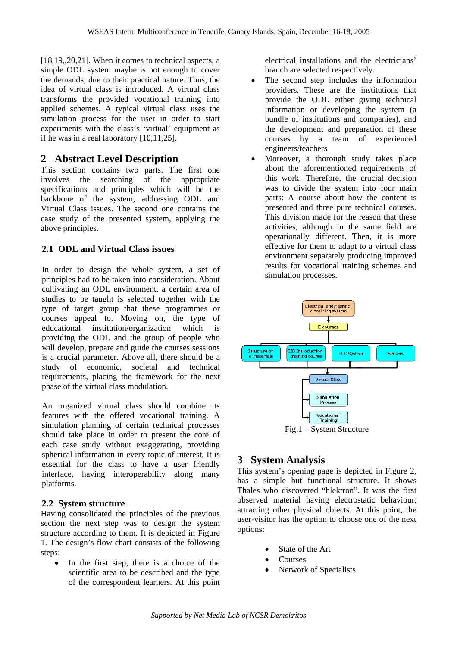[18,19,,20,21]. When it comes to technical aspects, a simple ODL system maybe is not enough to cover the demands, due to their practical nature. Thus, the idea of virtual class is introduced. A virtual class transforms the provided vocational training into applied schemes. A typical virtual class uses the simulation process for the user in order to start experiments with the class's 'virtual' equipment as if he was in a real laboratory [10,11,25].

### **2 Abstract Level Description**

This section contains two parts. The first one involves the searching of the appropriate specifications and principles which will be the backbone of the system, addressing ODL and Virtual Class issues. The second one contains the case study of the presented system, applying the above principles.

#### **2.1 ODL and Virtual Class issues**

In order to design the whole system, a set of principles had to be taken into consideration. About cultivating an ODL environment, a certain area of studies to be taught is selected together with the type of target group that these programmes or courses appeal to. Moving on, the type of educational institution/organization which is providing the ODL and the group of people who will develop, prepare and guide the courses sessions is a crucial parameter. Above all, there should be a study of economic, societal and technical requirements, placing the framework for the next phase of the virtual class modulation.

An organized virtual class should combine its features with the offered vocational training. A simulation planning of certain technical processes should take place in order to present the core of each case study without exaggerating, providing spherical information in every topic of interest. It is essential for the class to have a user friendly interface, having interoperability along many platforms.

#### **2.2 System structure**

Having consolidated the principles of the previous section the next step was to design the system structure according to them. It is depicted in Figure 1. The design's flow chart consists of the following steps:

• In the first step, there is a choice of the scientific area to be described and the type of the correspondent learners. At this point electrical installations and the electricians' branch are selected respectively.

- The second step includes the information providers. These are the institutions that provide the ODL either giving technical information or developing the system (a bundle of institutions and companies), and the development and preparation of these courses by a team of experienced engineers/teachers
- Moreover, a thorough study takes place about the aforementioned requirements of this work. Therefore, the crucial decision was to divide the system into four main parts: A course about how the content is presented and three pure technical courses. This division made for the reason that these activities, although in the same field are operationally different. Then, it is more effective for them to adapt to a virtual class environment separately producing improved results for vocational training schemes and simulation processes.



# **3 System Analysis**

This system's opening page is depicted in Figure 2, has a simple but functional structure. It shows Thales who discovered "hlektron". It was the first observed material having electrostatic behaviour, attracting other physical objects. At this point, the user-visitor has the option to choose one of the next options:

- State of the Art
- **Courses**
- Network of Specialists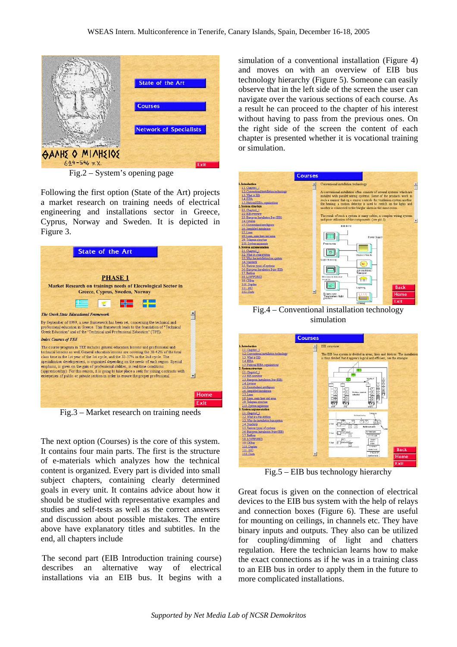

Fig.2 – System's opening page

Following the first option (State of the Art) projects a market research on training needs of electrical engineering and installations sector in Greece, Cyprus, Norway and Sweden. It is depicted in Figure 3.

| <b>State of the Art</b>                                                                                                                                                                                                                                                                                                                                                                                                                                                                                                                                                                                                                       |      |
|-----------------------------------------------------------------------------------------------------------------------------------------------------------------------------------------------------------------------------------------------------------------------------------------------------------------------------------------------------------------------------------------------------------------------------------------------------------------------------------------------------------------------------------------------------------------------------------------------------------------------------------------------|------|
|                                                                                                                                                                                                                                                                                                                                                                                                                                                                                                                                                                                                                                               |      |
| <b>PHASE 1</b>                                                                                                                                                                                                                                                                                                                                                                                                                                                                                                                                                                                                                                |      |
| <b>Market Research on trainings needs of Elecrological Sector in</b><br>Greece, Cyprus, Sweden, Norway                                                                                                                                                                                                                                                                                                                                                                                                                                                                                                                                        |      |
| <b>E 7 H</b>                                                                                                                                                                                                                                                                                                                                                                                                                                                                                                                                                                                                                                  |      |
| The Greek State Educational Framework                                                                                                                                                                                                                                                                                                                                                                                                                                                                                                                                                                                                         |      |
| By September of 1999, a new framework has been set, concerning the technical and<br>professional education in Greece. This framework leads to the foundation of "Technical<br>Greek Education" and of the "Technical and Professional Education" (TPE).                                                                                                                                                                                                                                                                                                                                                                                       |      |
| <b>Index Courses of TEE</b>                                                                                                                                                                                                                                                                                                                                                                                                                                                                                                                                                                                                                   |      |
| The course program in TEE includes general education lessons and professional and<br>technical lessons as well. General education lessons are covering the 38-42% of the total<br>class time in the 1st year of the 1st cycle, and the 33-37% in the 2nd cycle. The<br>specialization developement, is organized depending on the needs of each region. Special<br>emphasis, is given on the gain of professional abilities, in real-time conditions<br>(apprenticeship). For this reason, it is going to take place a seek for joining contracts with<br>enterprises of public or private section in order to ensure the proper professional |      |
|                                                                                                                                                                                                                                                                                                                                                                                                                                                                                                                                                                                                                                               |      |
|                                                                                                                                                                                                                                                                                                                                                                                                                                                                                                                                                                                                                                               | Home |
|                                                                                                                                                                                                                                                                                                                                                                                                                                                                                                                                                                                                                                               | Exit |

Fig.3 – Market research on training needs

The next option (Courses) is the core of this system. It contains four main parts. The first is the structure of e-materials which analyzes how the technical content is organized. Every part is divided into small subject chapters, containing clearly determined goals in every unit. It contains advice about how it should be studied with representative examples and studies and self-tests as well as the correct answers and discussion about possible mistakes. The entire above have explanatory titles and subtitles. In the end, all chapters include

The second part (EIB Introduction training course) describes an alternative way of electrical installations via an EIB bus. It begins with a simulation of a conventional installation (Figure 4) and moves on with an overview of EIB bus technology hierarchy (Figure 5). Someone can easily observe that in the left side of the screen the user can navigate over the various sections of each course. As a result he can proceed to the chapter of his interest without having to pass from the previous ones. On the right side of the screen the content of each chapter is presented whether it is vocational training or simulation.



Fig.4 – Conventional installation technology simulation



Fig.5 – EIB bus technology hierarchy

Great focus is given on the connection of electrical devices to the EIB bus system with the help of relays and connection boxes (Figure 6). These are useful for mounting on ceilings, in channels etc. They have binary inputs and outputs. They also can be utilized for coupling/dimming of light and chatters regulation. Here the technician learns how to make the exact connections as if he was in a training class to an EIB bus in order to apply them in the future to more complicated installations.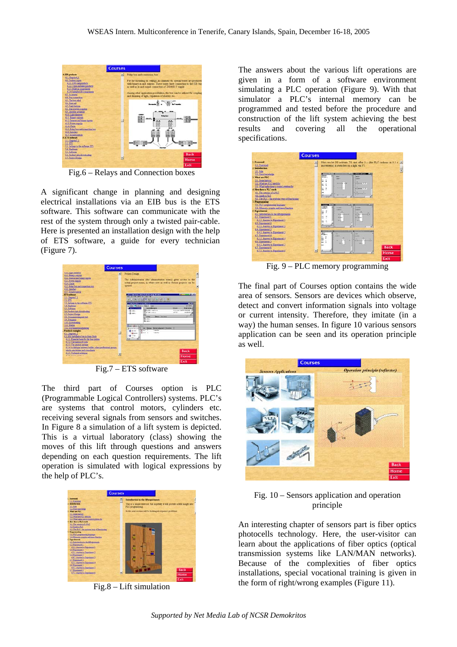

Fig.6 – Relays and Connection boxes

A significant change in planning and designing electrical installations via an EIB bus is the ETS software. This software can communicate with the rest of the system through only a twisted pair-cable. Here is presented an installation design with the help of ETS software, a guide for every technician (Figure 7).



Fig.7 – ETS software

The third part of Courses option is PLC (Programmable Logical Controllers) systems. PLC's are systems that control motors, cylinders etc. receiving several signals from sensors and switches. In Figure 8 a simulation of a lift system is depicted. This is a virtual laboratory (class) showing the moves of this lift through questions and answers depending on each question requirements. The lift operation is simulated with logical expressions by the help of PLC's.



Fig.8 – Lift simulation

The answers about the various lift operations are given in a form of a software environment simulating a PLC operation (Figure 9). With that simulator a PLC's internal memory can be programmed and tested before the procedure and construction of the lift system achieving the best results and covering all the operational specifications.



Fig. 9 – PLC memory programming

The final part of Courses option contains the wide area of sensors. Sensors are devices which observe, detect and convert information signals into voltage or current intensity. Therefore, they imitate (in a way) the human senses. In figure 10 various sensors application can be seen and its operation principle as well.



Fig. 10 – Sensors application and operation principle

An interesting chapter of sensors part is fiber optics photocells technology. Here, the user-visitor can learn about the applications of fiber optics (optical transmission systems like LAN/MAN networks). Because of the complexities of fiber optics installations, special vocational training is given in the form of right/wrong examples (Figure 11).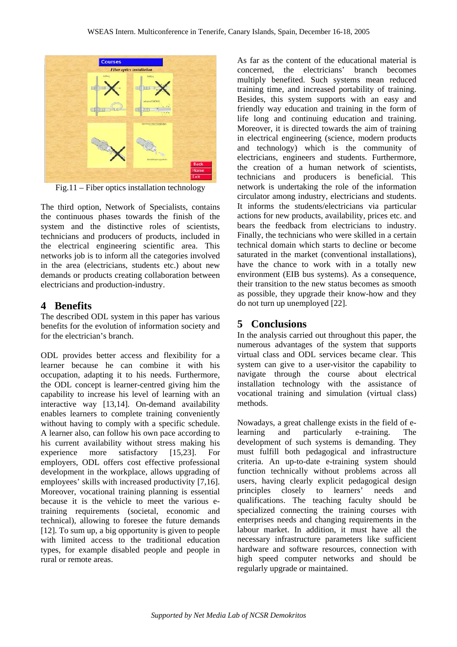

Fig.11 – Fiber optics installation technology

The third option, Network of Specialists, contains the continuous phases towards the finish of the system and the distinctive roles of scientists, technicians and producers of products, included in the electrical engineering scientific area. This networks job is to inform all the categories involved in the area (electricians, students etc.) about new demands or products creating collaboration between electricians and production-industry.

# **4 Benefits**

The described ODL system in this paper has various benefits for the evolution of information society and for the electrician's branch.

ODL provides better access and flexibility for a learner because he can combine it with his occupation, adapting it to his needs. Furthermore, the ODL concept is learner-centred giving him the capability to increase his level of learning with an interactive way [13,14]. On-demand availability enables learners to complete training conveniently without having to comply with a specific schedule. A learner also, can follow his own pace according to his current availability without stress making his experience more satisfactory [15,23]. For employers, ODL offers cost effective professional development in the workplace, allows upgrading of employees' skills with increased productivity [7,16]. Moreover, vocational training planning is essential because it is the vehicle to meet the various etraining requirements (societal, economic and technical), allowing to foresee the future demands [12]. To sum up, a big opportunity is given to people with limited access to the traditional education types, for example disabled people and people in rural or remote areas.

As far as the content of the educational material is concerned, the electricians' branch becomes multiply benefited. Such systems mean reduced training time, and increased portability of training. Besides, this system supports with an easy and friendly way education and training in the form of life long and continuing education and training. Moreover, it is directed towards the aim of training in electrical engineering (science, modern products and technology) which is the community of electricians, engineers and students. Furthermore, the creation of a human network of scientists, technicians and producers is beneficial. This network is undertaking the role of the information circulator among industry, electricians and students. It informs the students/electricians via particular actions for new products, availability, prices etc. and bears the feedback from electricians to industry. Finally, the technicians who were skilled in a certain technical domain which starts to decline or become saturated in the market (conventional installations), have the chance to work with in a totally new environment (EIB bus systems). As a consequence, their transition to the new status becomes as smooth as possible, they upgrade their know-how and they do not turn up unemployed [22].

# **5 Conclusions**

In the analysis carried out throughout this paper, the numerous advantages of the system that supports virtual class and ODL services became clear. This system can give to a user-visitor the capability to navigate through the course about electrical installation technology with the assistance of vocational training and simulation (virtual class) methods.

Nowadays, a great challenge exists in the field of elearning and particularly e-training. The development of such systems is demanding. They must fulfill both pedagogical and infrastructure criteria. An up-to-date e-training system should function technically without problems across all users, having clearly explicit pedagogical design principles closely to learners' needs and qualifications. The teaching faculty should be specialized connecting the training courses with enterprises needs and changing requirements in the labour market. In addition, it must have all the necessary infrastructure parameters like sufficient hardware and software resources, connection with high speed computer networks and should be regularly upgrade or maintained.